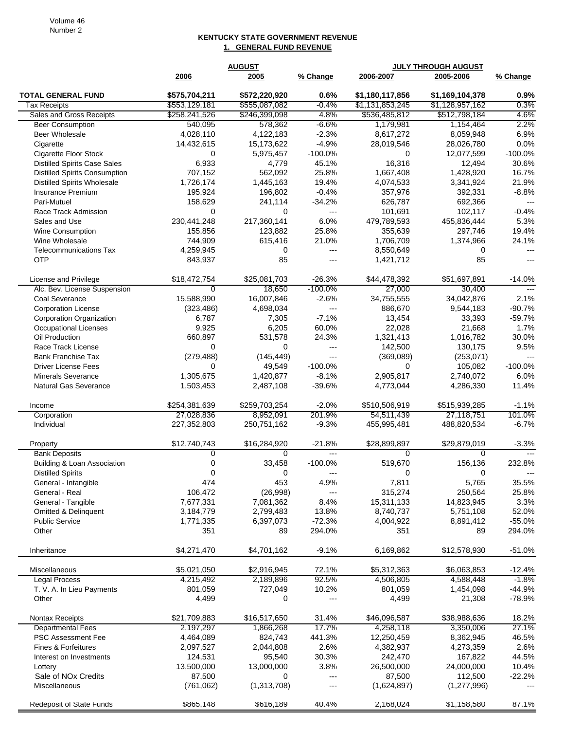## **KENTUCKY STATE GOVERNMENT REVENUE 1. GENERAL FUND REVENUE**

|                                                       | <b>AUGUST</b>     |                   |                            |                                | <b>JULY THROUGH AUGUST</b>     |                  |
|-------------------------------------------------------|-------------------|-------------------|----------------------------|--------------------------------|--------------------------------|------------------|
|                                                       | 2006              | 2005              | % Change                   | 2006-2007                      | 2005-2006                      | % Change         |
|                                                       |                   |                   |                            |                                |                                |                  |
| <b>TOTAL GENERAL FUND</b>                             | \$575,704,211     | \$572,220,920     | 0.6%                       | \$1,180,117,856                | \$1,169,104,378                | 0.9%             |
| <b>Tax Receipts</b>                                   | \$553,129,181     | \$555,087,082     | $-0.4%$                    | \$1,131,853,245                | \$1,128,957,162                | 0.3%             |
| Sales and Gross Receipts                              | \$258,241,526     | \$246,399,098     | 4.8%                       | \$536,485,812                  | \$512,798,184                  | 4.6%             |
| <b>Beer Consumption</b>                               | 540,095           | 578,362           | $-6.6%$                    | 1,179,981                      | 1,154,464                      | 2.2%             |
| Beer Wholesale                                        | 4,028,110         | 4,122,183         | $-2.3%$                    | 8,617,272                      | 8,059,948                      | 6.9%             |
| Cigarette                                             | 14,432,615        | 15,173,622        | $-4.9%$                    | 28,019,546                     | 28,026,780                     | 0.0%             |
| Cigarette Floor Stock                                 | 0                 | 5,975,457         | $-100.0%$                  | 0                              | 12,077,599                     | $-100.0%$        |
| <b>Distilled Spirits Case Sales</b>                   | 6,933             | 4,779             | 45.1%                      | 16,316                         | 12,494                         | 30.6%            |
| <b>Distilled Spirits Consumption</b>                  | 707,152           | 562,092           | 25.8%                      | 1,667,408                      | 1,428,920                      | 16.7%            |
| <b>Distilled Spirits Wholesale</b>                    | 1,726,174         | 1,445,163         | 19.4%                      | 4,074,533                      | 3,341,924                      | 21.9%            |
| Insurance Premium                                     | 195,924           | 196,802           | $-0.4%$                    | 357,976                        | 392,331                        | $-8.8%$          |
| Pari-Mutuel                                           | 158,629           | 241,114           | $-34.2%$                   | 626,787                        | 692,366                        |                  |
| Race Track Admission                                  | 0                 | 0                 | $\overline{\phantom{a}}$   | 101,691                        | 102,117                        | $-0.4%$          |
| Sales and Use                                         | 230,441,248       | 217,360,141       | 6.0%                       | 479,789,593                    | 455,836,444                    | 5.3%             |
| <b>Wine Consumption</b>                               | 155,856           | 123,882           | 25.8%                      | 355,639                        | 297,746                        | 19.4%            |
| Wine Wholesale                                        | 744,909           | 615,416           | 21.0%                      | 1,706,709                      | 1,374,966                      | 24.1%            |
| <b>Telecommunications Tax</b>                         | 4,259,945         | 0                 | $\overline{a}$             | 8,550,649                      | 0                              | $---$            |
| OTP                                                   | 843,937           | 85                | $\overline{a}$             | 1,421,712                      | 85                             | ---              |
|                                                       | \$18,472,754      | \$25,081,703      | $-26.3%$                   | \$44,478,392                   | \$51,697,891                   | $-14.0%$         |
| License and Privilege<br>Alc. Bev. License Suspension | $\Omega$          | 18,650            | $-100.0%$                  | 27,000                         |                                | $---$            |
|                                                       |                   |                   |                            |                                | 30,400                         |                  |
| Coal Severance                                        | 15,588,990        | 16,007,846        | $-2.6%$                    | 34,755,555                     | 34,042,876                     | 2.1%             |
| <b>Corporation License</b>                            | (323, 486)        | 4,698,034         | $\qquad \qquad - -$        | 886,670                        | 9,544,183                      | $-90.7%$         |
| Corporation Organization                              | 6,787             | 7,305             | $-7.1%$                    | 13,454                         | 33,393                         | $-59.7%$         |
| <b>Occupational Licenses</b>                          | 9,925             | 6,205             | 60.0%                      | 22,028                         | 21,668                         | 1.7%             |
| Oil Production                                        | 660,897           | 531,578           | 24.3%                      | 1,321,413                      | 1,016,782                      | 30.0%            |
| Race Track License                                    | $\mathbf 0$       | 0                 | $\overline{a}$             | 142,500                        | 130,175                        | 9.5%             |
| <b>Bank Franchise Tax</b>                             | (279, 488)        | (145, 449)        | $\overline{a}$             | (369,089)                      | (253, 071)                     |                  |
| <b>Driver License Fees</b>                            | 0                 | 49,549            | $-100.0%$                  | 0                              | 105,082                        | $-100.0%$        |
| <b>Minerals Severance</b>                             | 1,305,675         | 1,420,877         | $-8.1%$                    | 2,905,817                      | 2,740,072                      | 6.0%             |
| <b>Natural Gas Severance</b>                          | 1,503,453         | 2,487,108         | $-39.6%$                   | 4,773,044                      | 4,286,330                      | 11.4%            |
| Income                                                | \$254,381,639     | \$259,703,254     | $-2.0%$                    | \$510,506,919                  | \$515,939,285                  | $-1.1%$          |
| Corporation                                           | 27,028,836        | 8,952,091         | 201.9%                     | 54,511,439                     | 27,118,751                     | 101.0%           |
| Individual                                            | 227,352,803       | 250,751,162       | $-9.3%$                    | 455,995,481                    | 488,820,534                    | $-6.7%$          |
|                                                       |                   |                   |                            |                                |                                |                  |
| Property<br><b>Bank Deposits</b>                      | \$12,740,743<br>0 | \$16,284,920<br>0 | $-21.8%$<br>$\overline{a}$ | \$28,899,897<br>$\overline{0}$ | \$29,879,019<br>$\overline{0}$ | $-3.3%$<br>$---$ |
| Building & Loan Association                           | $\mathbf 0$       | 33,458            | $-100.0%$                  | 519,670                        | 156,136                        | 232.8%           |
| <b>Distilled Spirits</b>                              | $\Omega$          | 0                 | $--$                       | 0                              | 0                              |                  |
|                                                       | 474               | 453               | 4.9%                       | 7,811                          | 5,765                          | 35.5%            |
| General - Intangible                                  | 106,472           |                   | $---$                      |                                |                                |                  |
| General - Real                                        |                   | (26,998)          |                            | 315,274                        | 250,564                        | 25.8%            |
| General - Tangible                                    | 7,677,331         | 7,081,362         | 8.4%                       | 15,311,133                     | 14,823,945                     | 3.3%             |
| Omitted & Delinquent                                  | 3,184,779         | 2,799,483         | 13.8%                      | 8,740,737                      | 5,751,108                      | 52.0%            |
| <b>Public Service</b>                                 | 1,771,335         | 6,397,073         | $-72.3%$                   | 4,004,922                      | 8,891,412                      | $-55.0%$         |
| Other                                                 | 351               | 89                | 294.0%                     | 351                            | 89                             | 294.0%           |
| Inheritance                                           | \$4,271,470       | \$4,701,162       | $-9.1%$                    | 6,169,862                      | \$12,578,930                   | $-51.0%$         |
| Miscellaneous                                         |                   |                   |                            |                                |                                |                  |
|                                                       | \$5,021,050       | \$2,916,945       | 72.1%                      | \$5,312,363                    | \$6,063,853                    | $-12.4%$         |
| <b>Legal Process</b>                                  | 4,215,492         | 2,189,896         | 92.5%                      | 4,506,805                      | 4,588,448                      | $-1.8%$          |
| T. V. A. In Lieu Payments                             | 801,059           | 727,049           | 10.2%                      | 801,059                        | 1,454,098                      | $-44.9%$         |
| Other                                                 | 4,499             | 0                 | $\overline{a}$             | 4,499                          | 21,308                         | $-78.9%$         |
| Nontax Receipts                                       | \$21,709,883      | \$16,517,650      | 31.4%                      | \$46,096,587                   | \$38,988,636                   | 18.2%            |
| <b>Departmental Fees</b>                              | 2,197,297         | 1,866,268         | 17.7%                      | 4,258,118                      | 3,350,006                      | 27.1%            |
| <b>PSC Assessment Fee</b>                             | 4,464,089         | 824,743           | 441.3%                     | 12,250,459                     | 8,362,945                      | 46.5%            |
| Fines & Forfeitures                                   | 2,097,527         | 2,044,808         | 2.6%                       | 4,382,937                      | 4,273,359                      | 2.6%             |
| Interest on Investments                               | 124,531           | 95,540            | 30.3%                      | 242,470                        | 167,822                        | 44.5%            |
| Lottery                                               | 13,500,000        | 13,000,000        | 3.8%                       | 26,500,000                     | 24,000,000                     | 10.4%            |
| Sale of NOx Credits                                   | 87,500            | 0                 | $\sim$ $\sim$              | 87,500                         | 112,500                        | $-22.2%$         |
| Miscellaneous                                         | (761,062)         | (1,313,708)       | $---$                      | (1,624,897)                    | (1, 277, 996)                  |                  |
|                                                       |                   |                   |                            |                                |                                |                  |
| Redeposit of State Funds                              | \$865,148         | \$616,189         | 40.4%                      | 2,168,024                      | \$1,158,580                    | 87.1%            |